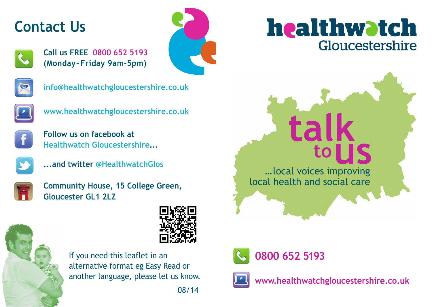## **Contact Us**



**Call us FREE 0800 652 5193 (Monday– Friday 9am-5pm)**





**info@healthwatchgloucestershire.co.uk**



**www.healthwatchgloucestershire.co.uk**



**Follow us on facebook at Healthwatch Gloucestershire...**



**...and twitter @HealthwatchGlos**



**Community House, 15 College Green, Gloucester GL1 2LZ**





If you need this leaflet in an alternative format eg Easy Read or another language, please let us know.

08/14





…local voices improving local health and social care



**0800 652 5193**



**www.healthwatchgloucestershire.co.uk**